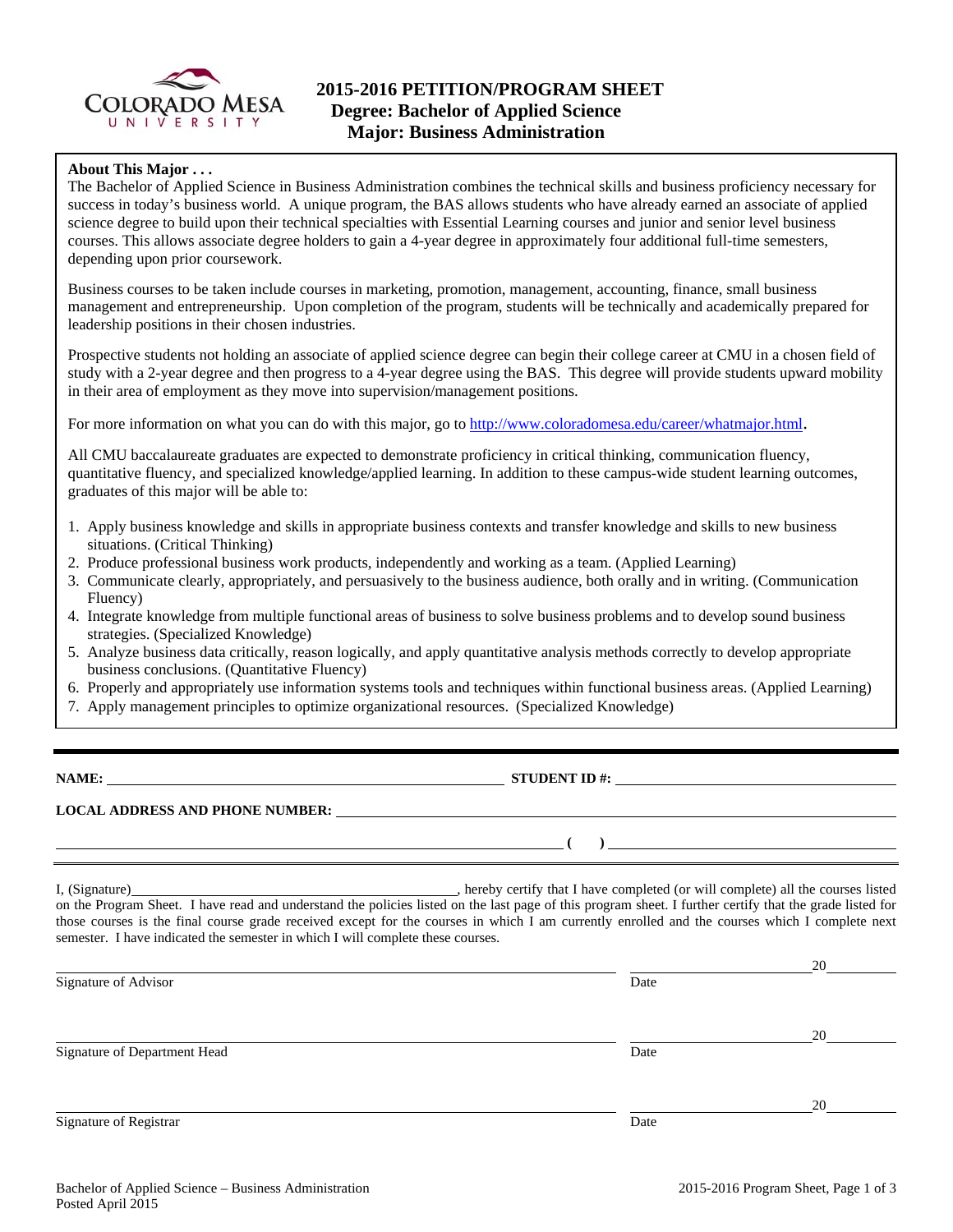

# **About This Major . . .**

The Bachelor of Applied Science in Business Administration combines the technical skills and business proficiency necessary for success in today's business world. A unique program, the BAS allows students who have already earned an associate of applied science degree to build upon their technical specialties with Essential Learning courses and junior and senior level business courses. This allows associate degree holders to gain a 4-year degree in approximately four additional full-time semesters, depending upon prior coursework.

Business courses to be taken include courses in marketing, promotion, management, accounting, finance, small business management and entrepreneurship. Upon completion of the program, students will be technically and academically prepared for leadership positions in their chosen industries.

Prospective students not holding an associate of applied science degree can begin their college career at CMU in a chosen field of study with a 2-year degree and then progress to a 4-year degree using the BAS. This degree will provide students upward mobility in their area of employment as they move into supervision/management positions.

For more information on what you can do with this major, go to http://www.coloradomesa.edu/career/whatmajor.html.

All CMU baccalaureate graduates are expected to demonstrate proficiency in critical thinking, communication fluency, quantitative fluency, and specialized knowledge/applied learning. In addition to these campus-wide student learning outcomes, graduates of this major will be able to:

- 1. Apply business knowledge and skills in appropriate business contexts and transfer knowledge and skills to new business situations. (Critical Thinking)
- 2. Produce professional business work products, independently and working as a team. (Applied Learning)
- 3. Communicate clearly, appropriately, and persuasively to the business audience, both orally and in writing. (Communication Fluency)
- 4. Integrate knowledge from multiple functional areas of business to solve business problems and to develop sound business strategies. (Specialized Knowledge)
- 5. Analyze business data critically, reason logically, and apply quantitative analysis methods correctly to develop appropriate business conclusions. (Quantitative Fluency)
- 6. Properly and appropriately use information systems tools and techniques within functional business areas. (Applied Learning)
- 7. Apply management principles to optimize organizational resources. (Specialized Knowledge)

| NAME |  |
|------|--|
|------|--|

**NAME:** STUDENT ID #:

 $($   $)$ 

## **LOCAL ADDRESS AND PHONE NUMBER:**

I, (Signature) , hereby certify that I have completed (or will complete) all the courses listed on the Program Sheet. I have read and understand the policies listed on the last page of this program sheet. I further certify that the grade listed for those courses is the final course grade received except for the courses in which I am currently enrolled and the courses which I complete next semester. I have indicated the semester in which I will complete these courses.

|                              |      | 20 |
|------------------------------|------|----|
| Signature of Advisor         | Date |    |
|                              |      | 20 |
| Signature of Department Head | Date |    |
|                              |      | 20 |
| Signature of Registrar       | Date |    |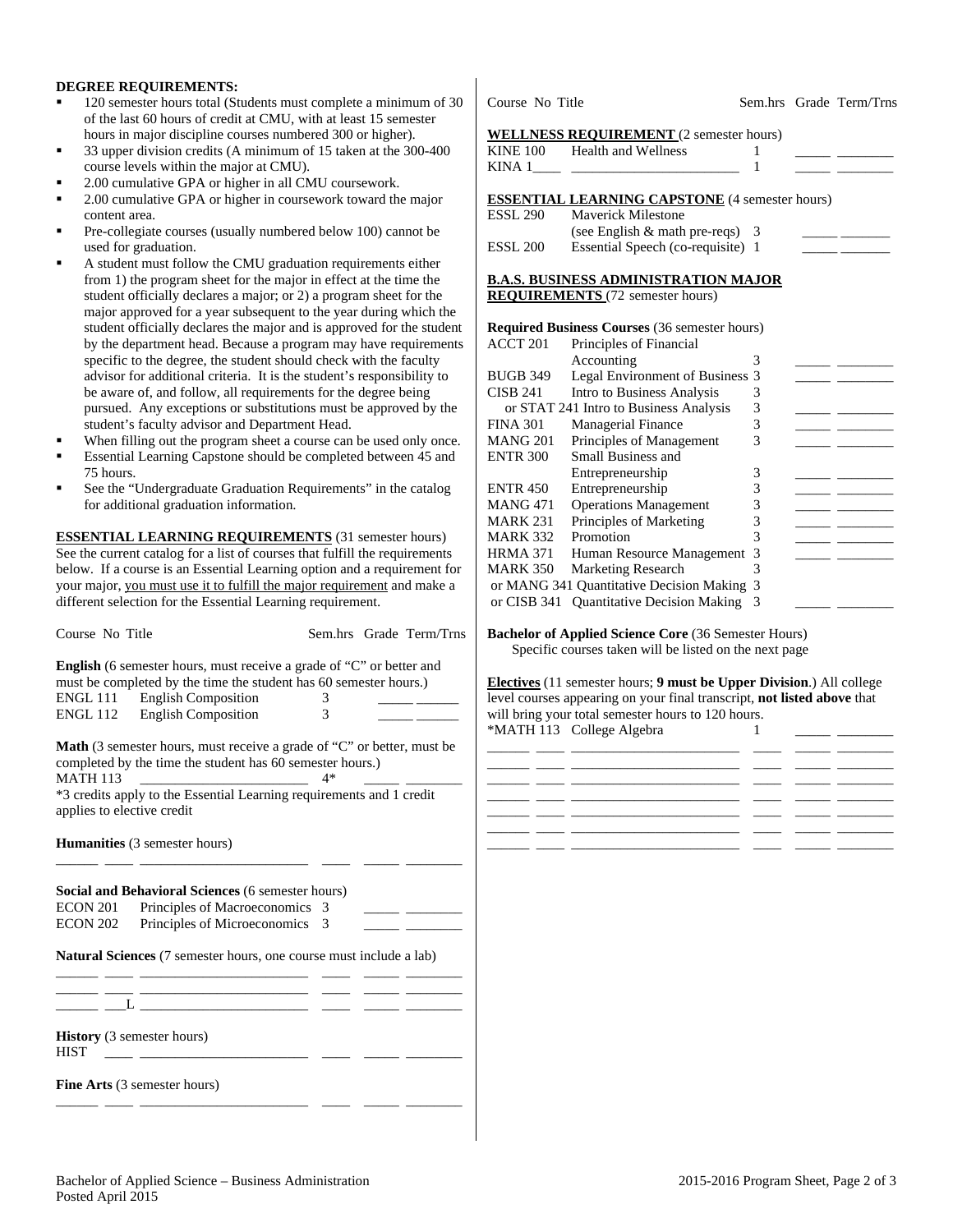#### **DEGREE REQUIREMENTS:**

- 120 semester hours total (Students must complete a minimum of 30 of the last 60 hours of credit at CMU, with at least 15 semester hours in major discipline courses numbered 300 or higher).
- 33 upper division credits (A minimum of 15 taken at the 300-400 course levels within the major at CMU).
- 2.00 cumulative GPA or higher in all CMU coursework.
- 2.00 cumulative GPA or higher in coursework toward the major content area.
- Pre-collegiate courses (usually numbered below 100) cannot be used for graduation.
- A student must follow the CMU graduation requirements either from 1) the program sheet for the major in effect at the time the student officially declares a major; or 2) a program sheet for the major approved for a year subsequent to the year during which the student officially declares the major and is approved for the student by the department head. Because a program may have requirements specific to the degree, the student should check with the faculty advisor for additional criteria. It is the student's responsibility to be aware of, and follow, all requirements for the degree being pursued. Any exceptions or substitutions must be approved by the student's faculty advisor and Department Head.
- When filling out the program sheet a course can be used only once.
- Essential Learning Capstone should be completed between 45 and 75 hours.
- See the "Undergraduate Graduation Requirements" in the catalog for additional graduation information.

**ESSENTIAL LEARNING REQUIREMENTS** (31 semester hours) See the current catalog for a list of courses that fulfill the requirements below. If a course is an Essential Learning option and a requirement for your major, you must use it to fulfill the major requirement and make a different selection for the Essential Learning requirement.

| Course No Title                                  |                                                                                                                                                  |               | Sem.hrs Grade Term/Trns |
|--------------------------------------------------|--------------------------------------------------------------------------------------------------------------------------------------------------|---------------|-------------------------|
|                                                  | <b>English</b> (6 semester hours, must receive a grade of "C" or better and<br>must be completed by the time the student has 60 semester hours.) |               |                         |
|                                                  | ENGL 111 English Composition                                                                                                                     | 3             |                         |
|                                                  | ENGL 112 English Composition                                                                                                                     | $\mathcal{E}$ |                         |
| <b>MATH 113</b>                                  | Math (3 semester hours, must receive a grade of "C" or better, must be<br>completed by the time the student has 60 semester hours.)              | $4*$          |                         |
| applies to elective credit                       | *3 credits apply to the Essential Learning requirements and 1 credit                                                                             |               |                         |
|                                                  | <b>Humanities</b> (3 semester hours)                                                                                                             |               |                         |
|                                                  | Social and Behavioral Sciences (6 semester hours)                                                                                                |               |                         |
| ECON 201                                         | Principles of Macroeconomics 3                                                                                                                   |               |                         |
| ECON 202                                         | Principles of Microeconomics                                                                                                                     | 3             |                         |
|                                                  | Natural Sciences (7 semester hours, one course must include a lab)<br><u> 1999 - Johann Stein, fransk politiker (d. 1989)</u>                    |               |                         |
|                                                  |                                                                                                                                                  |               |                         |
|                                                  |                                                                                                                                                  |               |                         |
| <b>History</b> (3 semester hours)<br><b>HIST</b> |                                                                                                                                                  |               |                         |
|                                                  | <b>Fine Arts</b> (3 semester hours)                                                                                                              |               |                         |
|                                                  |                                                                                                                                                  |               |                         |

Course No Title Sem.hrs Grade Term/Trns

# **WELL I NECC DEQUIDEMENT** (2 semester hours)

|                 | WELLNESS REQUIREMENT (2 semester nours)               |   |  |
|-----------------|-------------------------------------------------------|---|--|
| <b>KINE 100</b> | <b>Health and Wellness</b>                            | 1 |  |
| KINA 1          |                                                       | 1 |  |
|                 |                                                       |   |  |
|                 | <b>ESSENTIAL LEARNING CAPSTONE</b> (4 semester hours) |   |  |
| <b>ESSL 290</b> | <b>Maverick Milestone</b>                             |   |  |
|                 | (see English $\&$ math pre-reqs)                      | 3 |  |
| <b>ESSL 200</b> | Essential Speech (co-requisite) 1                     |   |  |
|                 | B.A.S. BUSINESS ADMINISTRATION MAJOR                  |   |  |
|                 | <b>REQUIREMENTS</b> (72 semester hours)               |   |  |
|                 |                                                       |   |  |
|                 | Required Business Courses (36 semester hours)         |   |  |
| ACCT 201        | Principles of Financial                               |   |  |
|                 | Accounting                                            | 3 |  |
| <b>BUGB 349</b> | Legal Environment of Business                         | 3 |  |
| CISB 241        | Intro to Business Analysis                            | 3 |  |
|                 | or STAT 241 Intro to Business Analysis                | 3 |  |
| <b>FINA 301</b> | Managerial Finance                                    | 3 |  |
| <b>MANG 201</b> | Principles of Management                              | 3 |  |
| <b>ENTR 300</b> | Small Business and                                    |   |  |
|                 | Entrepreneurship                                      | 3 |  |
| <b>ENTR 450</b> | Entrepreneurship                                      | 3 |  |
| <b>MANG 471</b> | <b>Operations Management</b>                          | 3 |  |
| <b>MARK 231</b> | Principles of Marketing                               | 3 |  |
| MARK 332        | Promotion                                             | 3 |  |
| HRMA 371        | Human Resource Management                             | 3 |  |
| <b>MARK 350</b> | <b>Marketing Research</b>                             | 3 |  |
|                 | or MANG 341 Quantitative Decision Making              | 3 |  |
| or CISB 341     | <b>Ouantitative Decision Making</b>                   | 3 |  |

**Bachelor of Applied Science Core** (36 Semester Hours) Specific courses taken will be listed on the next page

**Electives** (11 semester hours; **9 must be Upper Division**.) All college level courses appearing on your final transcript, **not listed above** that will bring your total semester hours to 120 hours. \*MATH 113 College Algebra 1